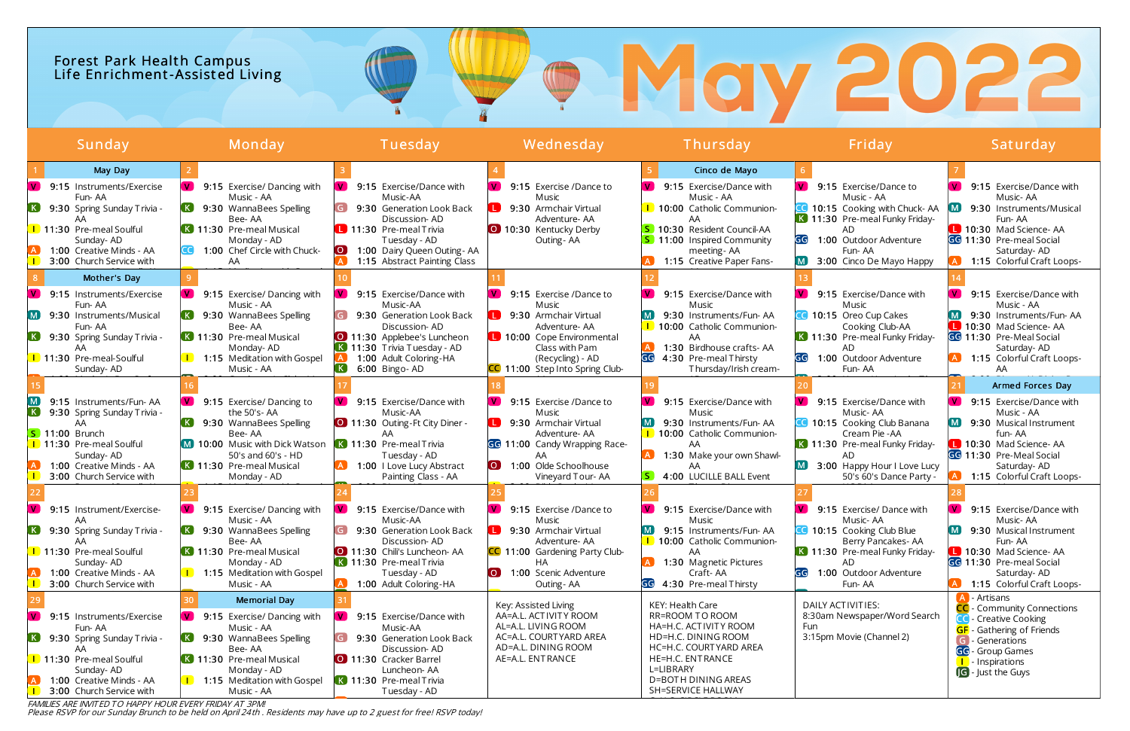# Forest Park Health Campus Life Enrichment-Assist ed Living

Please RSVP for our Sunday Brunch to be held on April 24th . Residents may have up to 2 guest for free! RSVP today!

# **OMay 2022**

| Sunday                                                                              | Monday                                               | Tuesday                                                    | Wednesday                                                            | Thursday                                               | Friday                                                        | Saturday                                                    |
|-------------------------------------------------------------------------------------|------------------------------------------------------|------------------------------------------------------------|----------------------------------------------------------------------|--------------------------------------------------------|---------------------------------------------------------------|-------------------------------------------------------------|
| May Day                                                                             |                                                      |                                                            |                                                                      | Cinco de Mayo                                          |                                                               |                                                             |
| 9:15 Instruments/Exercise                                                           | 9:15 Exercise/ Dancing with                          | 9:15 Exercise/Dance with                                   | $\mathbf{V}$<br>9:15 Exercise /Dance to                              | 9:15 Exercise/Dance with                               | 9:15 Exercise/Dance to                                        | $\mathbf{V}$<br>9:15 Exercise/Dance with                    |
| Fun-AA<br>$\left( \mathbf{K}\right)$<br>9:30 Spring Sunday Trivia -                 | Music - AA<br>9:30 WannaBees Spelling                | Music-AA<br>9:30 Generation Look Back                      | Music<br>9:30 Armchair Virtual                                       | Music - AA<br>1 10:00 Catholic Communion-              | Music - AA<br>10:15 Cooking with Chuck-AA                     | Music-AA<br>9:30 Instruments/Musical                        |
| 1 11:30 Pre-meal Soulful                                                            | Bee-AA<br>K 11:30 Pre-meal Musical                   | Discussion-AD<br>11:30 Pre-meal Trivia                     | Adventure-AA<br>10:30 Kentucky Derby                                 | AA<br>5 10:30 Resident Council-AA                      | K 11:30 Pre-meal Funky Friday-<br>AD                          | Fun-AA<br>10:30 Mad Science-AA                              |
| Sunday-AD<br>1:00 Creative Minds - AA                                               | Monday - AD<br>1:00 Chef Circle with Chuck-          | Tuesday - AD<br>1:00 Dairy Queen Outing - AA<br>LO J       | Outing - AA                                                          | <b>S</b> 11:00 Inspired Community<br>meeting-AA        | GG<br>1:00 Outdoor Adventure<br>Fun-AA                        | GG 11:30 Pre-meal Social<br>Saturday- AD                    |
| 3:00 Church Service with                                                            | AA                                                   | 1:15 Abstract Painting Class                               |                                                                      | 1:15 Creative Paper Fans-                              | 3:00 Cinco De Mayo Happy                                      | 1:15 Colorful Craft Loops-                                  |
| Mother's Day                                                                        |                                                      |                                                            |                                                                      |                                                        |                                                               |                                                             |
| $\mathbf{V}$<br>9:15 Instruments/Exercise<br>Fun-AA                                 | 9:15 Exercise/ Dancing with<br>V.<br>Music - AA      | 9:15 Exercise/Dance with<br>Music-AA                       | $\mathbf{V}$<br>9:15 Exercise /Dance to<br>Music                     | 9:15 Exercise/Dance with<br>Music                      | 9:15 Exercise/Dance with<br>Music                             | V.<br>9:15 Exercise/Dance with<br>Music - AA                |
| 9:30 Instruments/Musical<br>$\blacksquare$<br>Fun-AA                                | 9:30 WannaBees Spelling<br>Bee-AA                    | 9:30 Generation Look Back<br>Discussion-AD                 | 9:30 Armchair Virtual<br>Adventure-AA                                | 9:30 Instruments/Fun-AA<br>1 10:00 Catholic Communion- | 10:15 Oreo Cup Cakes<br>Cooking Club-AA                       | 9:30 Instruments/Fun-AA<br>10:30 Mad Science-AA             |
| 9:30 Spring Sunday Trivia -                                                         | K 11:30 Pre-meal Musical<br>Monday-AD                | 0 11:30 Applebee's Luncheon<br>K 11:30 Trivia Tuesday - AD | 10:00 Cope Environmental<br>Class with Pam                           | AA<br>1:30 Birdhouse crafts-AA                         | K 11:30 Pre-meal Funky Friday-<br>AD                          | GG 11:30 Pre-Meal Social<br>Saturday- AD                    |
| 1 11:30 Pre-meal-Soulful                                                            | <b>1</b> 1:15 Meditation with Gospel                 | 1:00 Adult Coloring-HA                                     | (Recycling) - AD                                                     | GG<br>4:30 Pre-meal Thirsty                            | GG<br>1:00 Outdoor Adventure                                  | 1:15 Colorful Craft Loops-                                  |
| Sunday- AD                                                                          | Music - AA                                           | $\left( \mathbf{K}\right)$<br>6:00 Bingo-AD                | CC 11:00 Step Into Spring Club-                                      | Thursday/Irish cream-                                  | Fun-AA                                                        | AA<br>Armed Forces Day                                      |
| 9:15 Instruments/Fun-AA                                                             | 9:15 Exercise/ Dancing to                            | 9:15 Exercise/Dance with                                   | $\mathbf{V}$<br>9:15 Exercise /Dance to                              | 9:15 Exercise/Dance with                               | 9:15 Exercise/Dance with                                      | $\mathbf{V}$<br>9:15 Exercise/Dance with                    |
| 9:30 Spring Sunday Trivia -<br>AA                                                   | the 50's-AA<br>9:30 WannaBees Spelling               | Music-AA<br>0 11:30 Outing-Ft City Diner -                 | Music<br>9:30 Armchair Virtual                                       | Music<br>9:30 Instruments/Fun-AA                       | Music-AA<br>10:15 Cooking Club Banana                         | Music - AA<br>9:30 Musical Instrument                       |
| <b>S</b> 11:00 Brunch                                                               | Bee-AA                                               |                                                            | Adventure- AA                                                        | 1 10:00 Catholic Communion-                            | Cream Pie - AA                                                | fun-AA                                                      |
| 1 11:30 Pre-meal Soulful<br>Sunday- AD                                              | M 10:00 Music with Dick Watson<br>50's and 60's - HD | K 11:30 Pre-meal Trivia<br>Tuesday - AD                    | GG 11:00 Candy Wrapping Race-<br>AA.                                 | AA.<br>1:30 Make your own Shawl-                       | K 11:30 Pre-meal Funky Friday-<br>AD.                         | 10:30 Mad Science-AA<br>GG 11:30 Pre-Meal Social            |
| 1:00 Creative Minds - AA<br>3:00 Church Service with                                | K 11:30 Pre-meal Musical<br>Monday - AD              | 1:00 I Love Lucy Abstract<br>Painting Class - AA           | $\overline{\mathbf{O}}$<br>1:00 Olde Schoolhouse<br>Vineyard Tour-AA | AA<br>4:00 LUCILLE BALL Event                          | [M]<br>3:00 Happy Hour I Love Lucy<br>50's 60's Dance Party - | Saturday- AD<br>1:15 Colorful Craft Loops-                  |
|                                                                                     |                                                      |                                                            |                                                                      |                                                        |                                                               |                                                             |
| $\mathbf{V}$<br>9:15 Instrument/Exercise-                                           | 9:15 Exercise/ Dancing with                          | 9:15 Exercise/Dance with                                   | $\mathbf{V}$<br>9:15 Exercise /Dance to                              | 9:15 Exercise/Dance with                               | 9:15 Exercise/ Dance with                                     | <b>V</b><br>9:15 Exercise/Dance with                        |
| AA<br>$\lceil K \rceil$<br>9:30 Spring Sunday Trivia -                              | Music - AA<br>9:30 WannaBees Spelling                | Music-AA<br>9:30 Generation Look Back                      | Music<br>9:30 Armchair Virtual                                       | Music<br>9:15 Instruments/Fun-AA                       | Music-AA<br>10:15 Cooking Club Blue                           | Music-AA<br>9:30 Musical Instrument                         |
| 11:30 Pre-meal Soulful                                                              | Bee-AA<br>K 11:30 Pre-meal Musical                   | Discussion-AD<br><b>O</b> 11:30 Chili's Luncheon AA        | Adventure- AA<br><b>CC</b> 11:00 Gardening Party Club-               | 1 10:00 Catholic Communion-<br>AA                      | Berry Pancakes- AA<br>K 11:30 Pre-meal Funky Friday-          | Fun-AA<br>10:30 Mad Science-AA                              |
| Sunday- AD<br>1:00 Creative Minds - AA                                              | Monday - AD<br><b>1</b> 1:15 Meditation with Gospel  | K 11:30 Pre-meal Trivia<br>Tuesday - AD                    | HA<br>$\overline{O}$<br>1:00 Scenic Adventure                        | 1:30 Magnetic Pictures<br>Craft-AA                     | GG<br>1:00 Outdoor Adventure                                  | GG 11:30 Pre-meal Social<br>Saturday- AD                    |
| 3:00 Church Service with                                                            | Music - AA                                           | 1:00 Adult Coloring-HA                                     | Outing-AA                                                            | GG 4:30 Pre-meal Thirsty                               | Fun-AA                                                        | 1:15 Colorful Craft Loops-                                  |
|                                                                                     | <b>Memorial Day</b>                                  |                                                            | Key: Assisted Living                                                 | KEY: Health Care                                       | DAILY ACTIVITIES:                                             | - Artisans<br><b>CC</b> - Community Connections             |
| <b>V</b><br>9:15 Instruments/Exercise<br>Fun-AA                                     | V.<br>9:15 Exercise/ Dancing with<br>Music - AA      | $\mathbf{V}$<br>9:15 Exercise/Dance with<br>Music-AA       | AA=A.L. ACTIVITY ROOM<br>AL=A.L. LIVING ROOM                         | <b>RR=ROOM TO ROOM</b><br>HA=H.C. ACTIVITY ROOM        | 8:30am Newspaper/Word Search<br>Fun                           | <b>Creative Cooking</b><br><b>GF</b> - Gathering of Friends |
| (K)<br>9:30 Spring Sunday Trivia -<br>AA.                                           | 9:30 WannaBees Spelling<br>Bee-AA                    | 9:30 Generation Look Back<br>Discussion-AD                 | AC=A.L. COURTYARD AREA<br>AD=A.L. DINING ROOM                        | HD=H.C. DINING ROOM<br>HC=H.C. COURTYARD AREA          | 3:15pm Movie (Channel 2)                                      | G - Generations<br>GG - Group Games                         |
| 1 11:30 Pre-meal Soulful                                                            | K 11:30 Pre-meal Musical                             | 11:30 Cracker Barrel                                       | AE=A.L. ENTRANCE                                                     | <b>HE=H.C. ENTRANCE</b><br>L=LIBRARY                   |                                                               | - Inspirations                                              |
| Sunday-AD<br>1:00 Creative Minds - AA                                               | Monday - AD<br><b>I</b> 1:15 Meditation with Gospel  | Luncheon-AA<br>K 11:30 Pre-meal Trivia                     |                                                                      | <b>D=BOTH DINING AREAS</b>                             |                                                               | <b>G</b> - Just the Guys                                    |
| 3:00 Church Service with<br>FAMILIES ARE INVITED TO HAPPY HOUR EVERY FRIDAY AT 3PM! | Music - AA                                           | Tuesday - AD                                               |                                                                      | SH=SERVICE HALLWAY                                     |                                                               |                                                             |

FAMILIES ARE INVITED TO HAPPY HOUR EVERY FRIDAY AT 3PM!